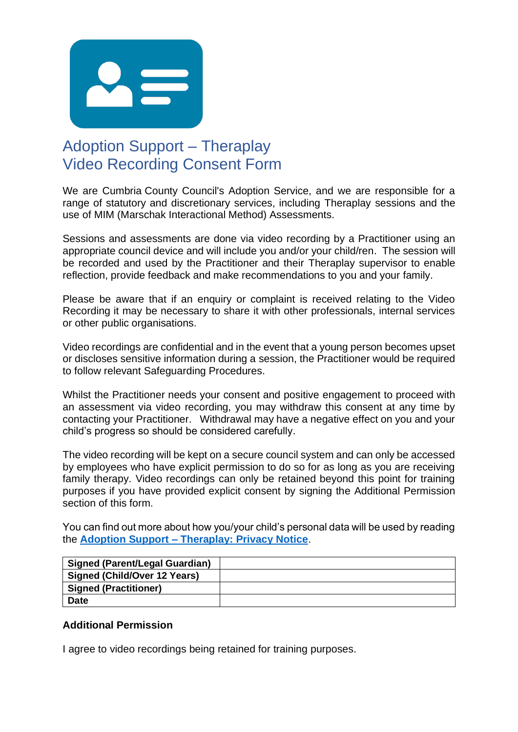

## Adoption Support – Theraplay Video Recording Consent Form

We are Cumbria County Council's Adoption Service, and we are responsible for a range of statutory and discretionary services, including Theraplay sessions and the use of MIM (Marschak Interactional Method) Assessments.

Sessions and assessments are done via video recording by a Practitioner using an appropriate council device and will include you and/or your child/ren. The session will be recorded and used by the Practitioner and their Theraplay supervisor to enable reflection, provide feedback and make recommendations to you and your family.

Please be aware that if an enquiry or complaint is received relating to the Video Recording it may be necessary to share it with other professionals, internal services or other public organisations.

Video recordings are confidential and in the event that a young person becomes upset or discloses sensitive information during a session, the Practitioner would be required to follow relevant Safeguarding Procedures.

Whilst the Practitioner needs your consent and positive engagement to proceed with an assessment via video recording, you may withdraw this consent at any time by contacting your Practitioner. Withdrawal may have a negative effect on you and your child's progress so should be considered carefully.

The video recording will be kept on a secure council system and can only be accessed by employees who have explicit permission to do so for as long as you are receiving family therapy. Video recordings can only be retained beyond this point for training purposes if you have provided explicit consent by signing the Additional Permission section of this form.

You can find out more about how you/your child's personal data will be used by reading the **Adoption Support – [Theraplay: Privacy Notice](https://cumbria.gov.uk/elibrary/Content/Internet/536/17354/44727101215.pdf)**.

| <b>Signed (Parent/Legal Guardian)</b> |  |
|---------------------------------------|--|
| Signed (Child/Over 12 Years)          |  |
| <b>Signed (Practitioner)</b>          |  |
| <b>Date</b>                           |  |

## **Additional Permission**

I agree to video recordings being retained for training purposes.